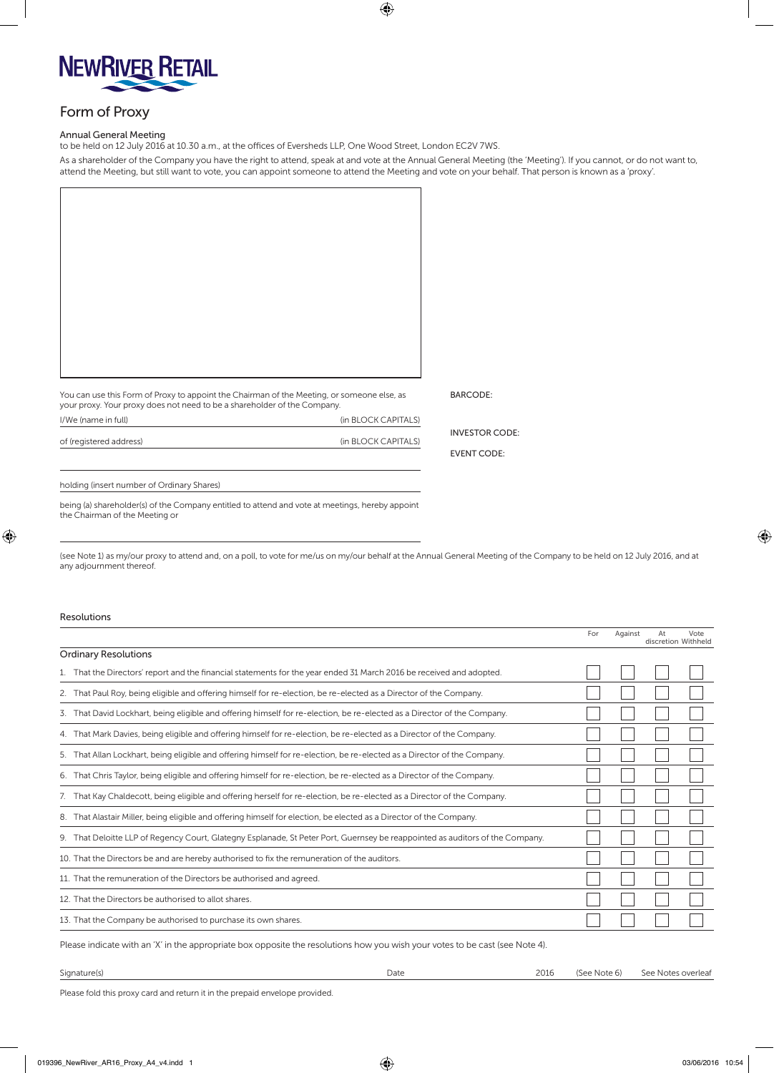

## Form of Proxy

## Annual General Meeting

to be held on 12 July 2016 at 10.30 a.m., at the offices of Eversheds LLP, One Wood Street, London EC2V 7WS.

As a shareholder of the Company you have the right to attend, speak at and vote at the Annual General Meeting (the 'Meeting'). If you cannot, or do not want to, attend the Meeting, but still want to vote, you can appoint someone to attend the Meeting and vote on your behalf. That person is known as a 'proxy'.

 $\bigoplus$ 

| You can use this Form of Proxy to appoint the Chairman of the Meeting, or someone else, as<br>your proxy. Your proxy does not need to be a shareholder of the Company. |                     | <b>BARCODE:</b>       |
|------------------------------------------------------------------------------------------------------------------------------------------------------------------------|---------------------|-----------------------|
| I/We (name in full)                                                                                                                                                    | (in BLOCK CAPITALS) |                       |
| of (registered address)                                                                                                                                                | (in BLOCK CAPITALS) | <b>INVESTOR CODE:</b> |
|                                                                                                                                                                        |                     | <b>EVENT CODE:</b>    |

holding (insert number of Ordinary Shares)

being (a) shareholder(s) of the Company entitled to attend and vote at meetings, hereby appoint the Chairman of the Meeting or

 $\bigoplus$ 

(see Note 1) as my/our proxy to attend and, on a poll, to vote for me/us on my/our behalf at the Annual General Meeting of the Company to be held on 12 July 2016, and at any adjournment thereof.

## Resolutions

|                                                                                                                               | For | Against | At | Vote<br>discretion Withheld |
|-------------------------------------------------------------------------------------------------------------------------------|-----|---------|----|-----------------------------|
| <b>Ordinary Resolutions</b>                                                                                                   |     |         |    |                             |
| 1. That the Directors' report and the financial statements for the year ended 31 March 2016 be received and adopted.          |     |         |    |                             |
| 2. That Paul Roy, being eligible and offering himself for re-election, be re-elected as a Director of the Company.            |     |         |    |                             |
| 3. That David Lockhart, being eligible and offering himself for re-election, be re-elected as a Director of the Company.      |     |         |    |                             |
| 4. That Mark Davies, being eligible and offering himself for re-election, be re-elected as a Director of the Company.         |     |         |    |                             |
| 5. That Allan Lockhart, being eligible and offering himself for re-election, be re-elected as a Director of the Company.      |     |         |    |                             |
| 6. That Chris Taylor, being eligible and offering himself for re-election, be re-elected as a Director of the Company.        |     |         |    |                             |
| 7. That Kay Chaldecott, being eligible and offering herself for re-election, be re-elected as a Director of the Company.      |     |         |    |                             |
| 8. That Alastair Miller, being eligible and offering himself for election, be elected as a Director of the Company.           |     |         |    |                             |
| 9. That Deloitte LLP of Regency Court, Glategny Esplanade, St Peter Port, Guernsey be reappointed as auditors of the Company. |     |         |    |                             |
| 10. That the Directors be and are hereby authorised to fix the remuneration of the auditors.                                  |     |         |    |                             |
| 11. That the remuneration of the Directors be authorised and agreed.                                                          |     |         |    |                             |
| 12. That the Directors be authorised to allot shares.                                                                         |     |         |    |                             |
| 13. That the Company be authorised to purchase its own shares.                                                                |     |         |    |                             |
|                                                                                                                               |     |         |    |                             |

Please indicate with an 'X' in the appropriate box opposite the resolutions how you wish your votes to be cast (see Note 4).

| Signature(s) | Date | 2016 | (See Note 6) | See Notes overleat |
|--------------|------|------|--------------|--------------------|
|              |      |      |              |                    |

Please fold this proxy card and return it in the prepaid envelope provided.

⊕